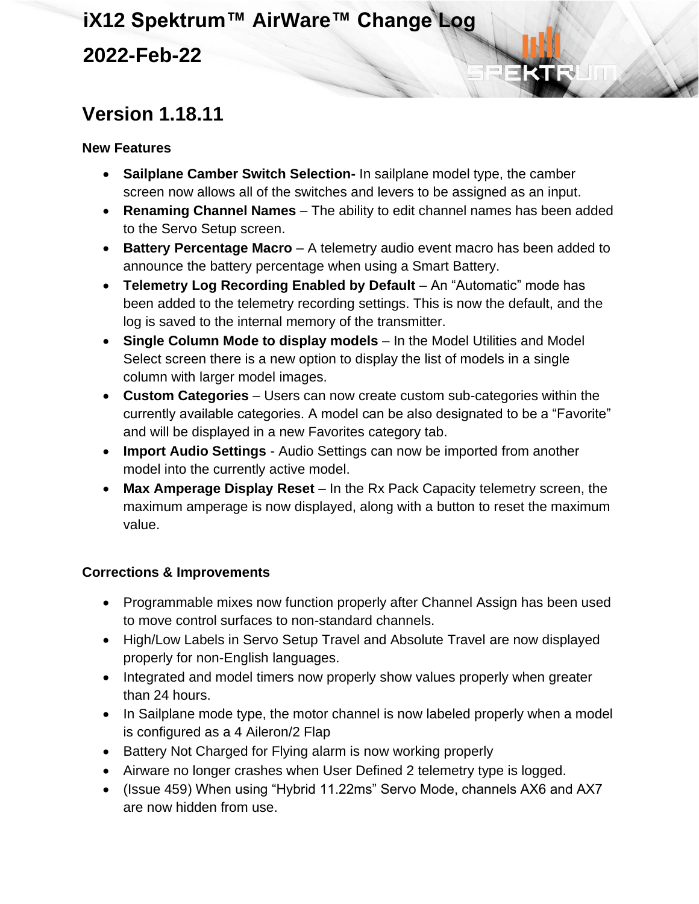## **iX12 Spektrum™ AirWare™ Change Log 2022-Feb-22**

### **Version 1.18.11**

#### **New Features**

- **Sailplane Camber Switch Selection-** In sailplane model type, the camber screen now allows all of the switches and levers to be assigned as an input.
- **Renaming Channel Names** The ability to edit channel names has been added to the Servo Setup screen.
- **Battery Percentage Macro** A telemetry audio event macro has been added to announce the battery percentage when using a Smart Battery.
- **Telemetry Log Recording Enabled by Default** An "Automatic" mode has been added to the telemetry recording settings. This is now the default, and the log is saved to the internal memory of the transmitter.
- **Single Column Mode to display models** In the Model Utilities and Model Select screen there is a new option to display the list of models in a single column with larger model images.
- **Custom Categories** Users can now create custom sub-categories within the currently available categories. A model can be also designated to be a "Favorite" and will be displayed in a new Favorites category tab.
- **Import Audio Settings** Audio Settings can now be imported from another model into the currently active model.
- **Max Amperage Display Reset** In the Rx Pack Capacity telemetry screen, the maximum amperage is now displayed, along with a button to reset the maximum value.

- Programmable mixes now function properly after Channel Assign has been used to move control surfaces to non-standard channels.
- High/Low Labels in Servo Setup Travel and Absolute Travel are now displayed properly for non-English languages.
- Integrated and model timers now properly show values properly when greater than 24 hours.
- In Sailplane mode type, the motor channel is now labeled properly when a model is configured as a 4 Aileron/2 Flap
- Battery Not Charged for Flying alarm is now working properly
- Airware no longer crashes when User Defined 2 telemetry type is logged.
- (Issue 459) When using "Hybrid 11.22ms" Servo Mode, channels AX6 and AX7 are now hidden from use.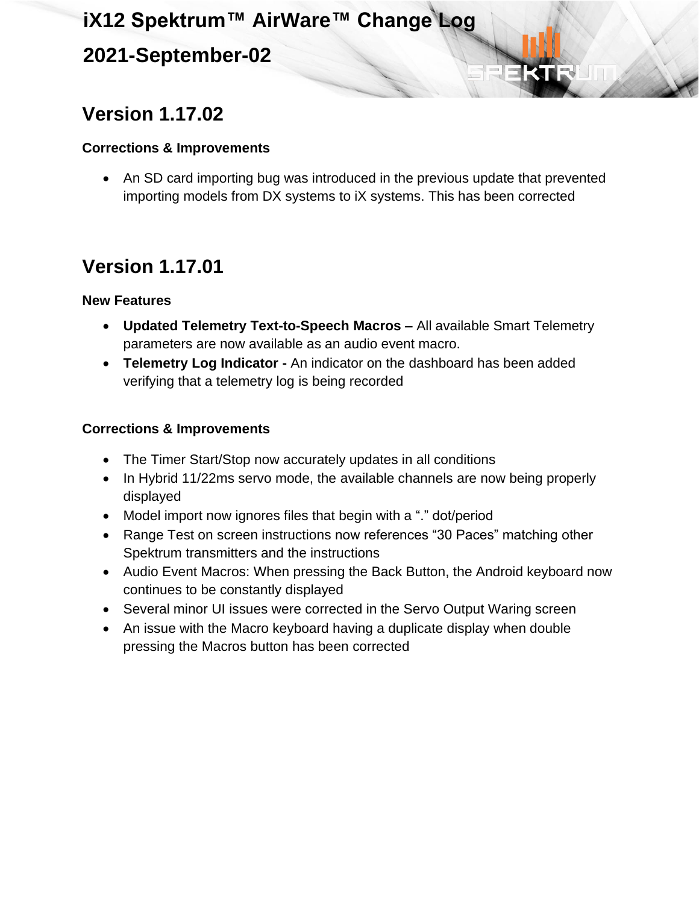### **2021-September-02**

## **Version 1.17.02**

#### **Corrections & Improvements**

• An SD card importing bug was introduced in the previous update that prevented importing models from DX systems to iX systems. This has been corrected

## **Version 1.17.01**

#### **New Features**

- **Updated Telemetry Text-to-Speech Macros –** All available Smart Telemetry parameters are now available as an audio event macro.
- **Telemetry Log Indicator -** An indicator on the dashboard has been added verifying that a telemetry log is being recorded

- The Timer Start/Stop now accurately updates in all conditions
- In Hybrid 11/22ms servo mode, the available channels are now being properly displayed
- Model import now ignores files that begin with a "." dot/period
- Range Test on screen instructions now references "30 Paces" matching other Spektrum transmitters and the instructions
- Audio Event Macros: When pressing the Back Button, the Android keyboard now continues to be constantly displayed
- Several minor UI issues were corrected in the Servo Output Waring screen
- An issue with the Macro keyboard having a duplicate display when double pressing the Macros button has been corrected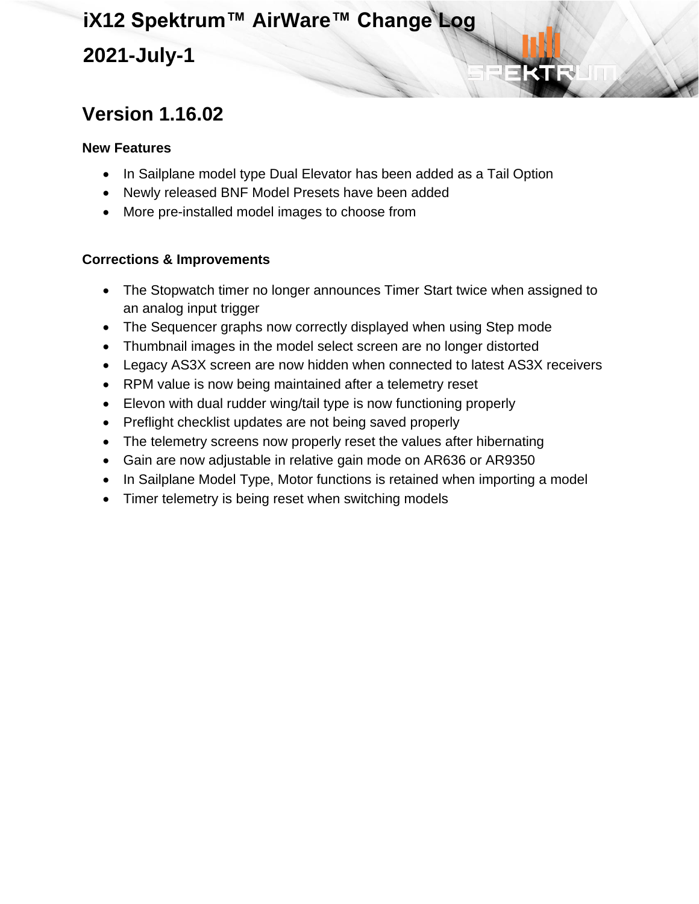### **2021-July-1**

## **Version 1.16.02**

#### **New Features**

- In Sailplane model type Dual Elevator has been added as a Tail Option
- Newly released BNF Model Presets have been added
- More pre-installed model images to choose from

- The Stopwatch timer no longer announces Timer Start twice when assigned to an analog input trigger
- The Sequencer graphs now correctly displayed when using Step mode
- Thumbnail images in the model select screen are no longer distorted
- Legacy AS3X screen are now hidden when connected to latest AS3X receivers
- RPM value is now being maintained after a telemetry reset
- Elevon with dual rudder wing/tail type is now functioning properly
- Preflight checklist updates are not being saved properly
- The telemetry screens now properly reset the values after hibernating
- Gain are now adjustable in relative gain mode on AR636 or AR9350
- In Sailplane Model Type, Motor functions is retained when importing a model
- Timer telemetry is being reset when switching models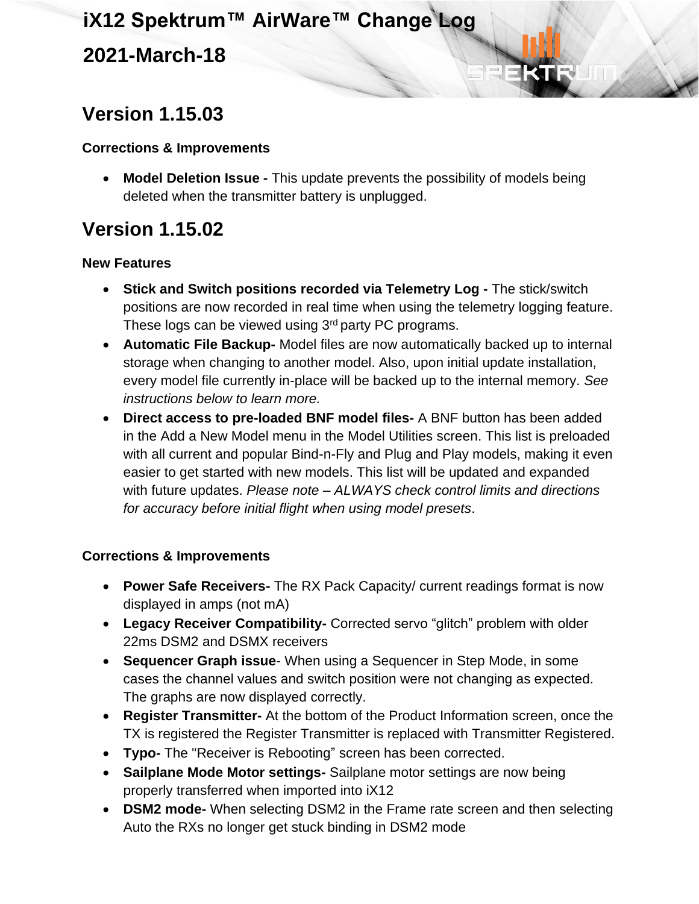### **Version 1.15.03**

#### **Corrections & Improvements**

• **Model Deletion Issue -** This update prevents the possibility of models being deleted when the transmitter battery is unplugged.

## **Version 1.15.02**

#### **New Features**

- **Stick and Switch positions recorded via Telemetry Log -** The stick/switch positions are now recorded in real time when using the telemetry logging feature. These logs can be viewed using 3<sup>rd</sup> party PC programs.
- **Automatic File Backup-** Model files are now automatically backed up to internal storage when changing to another model. Also, upon initial update installation, every model file currently in-place will be backed up to the internal memory. *See instructions below to learn more.*
- **Direct access to pre-loaded BNF model files-** A BNF button has been added in the Add a New Model menu in the Model Utilities screen. This list is preloaded with all current and popular Bind-n-Fly and Plug and Play models, making it even easier to get started with new models. This list will be updated and expanded with future updates. *Please note – ALWAYS check control limits and directions for accuracy before initial flight when using model presets*.

- **Power Safe Receivers-** The RX Pack Capacity/ current readings format is now displayed in amps (not mA)
- **Legacy Receiver Compatibility-** Corrected servo "glitch" problem with older 22ms DSM2 and DSMX receivers
- **Sequencer Graph issue** When using a Sequencer in Step Mode, in some cases the channel values and switch position were not changing as expected. The graphs are now displayed correctly.
- **Register Transmitter-** At the bottom of the Product Information screen, once the TX is registered the Register Transmitter is replaced with Transmitter Registered.
- **Typo-** The "Receiver is Rebooting" screen has been corrected.
- **Sailplane Mode Motor settings-** Sailplane motor settings are now being properly transferred when imported into iX12
- **DSM2 mode-** When selecting DSM2 in the Frame rate screen and then selecting Auto the RXs no longer get stuck binding in DSM2 mode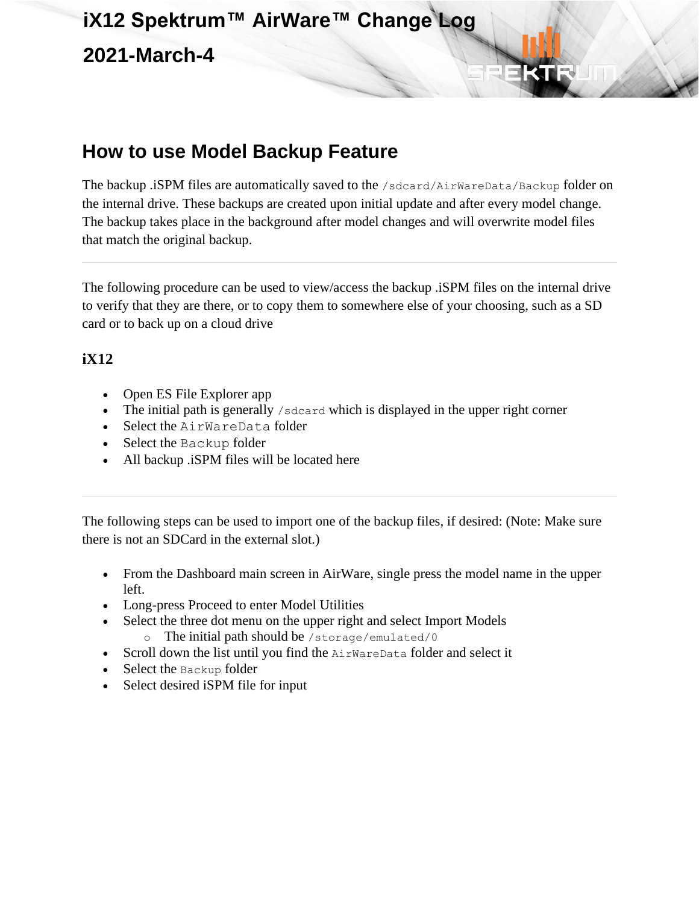### **How to use Model Backup Feature**

The backup .iSPM files are automatically saved to the /sdcard/AirWareData/Backup folder on the internal drive. These backups are created upon initial update and after every model change. The backup takes place in the background after model changes and will overwrite model files that match the original backup.

The following procedure can be used to view/access the backup .iSPM files on the internal drive to verify that they are there, or to copy them to somewhere else of your choosing, such as a SD card or to back up on a cloud drive

#### **iX12**

- Open ES File Explorer app
- The initial path is generally /sdcard which is displayed in the upper right corner
- Select the AirWareData folder
- Select the Backup folder
- All backup .iSPM files will be located here

The following steps can be used to import one of the backup files, if desired: (Note: Make sure there is not an SDCard in the external slot.)

- From the Dashboard main screen in AirWare, single press the model name in the upper left.
- Long-press Proceed to enter Model Utilities
- Select the three dot menu on the upper right and select Import Models o The initial path should be /storage/emulated/0
- Scroll down the list until you find the AirWareData folder and select it
- Select the Backup folder
- Select desired iSPM file for input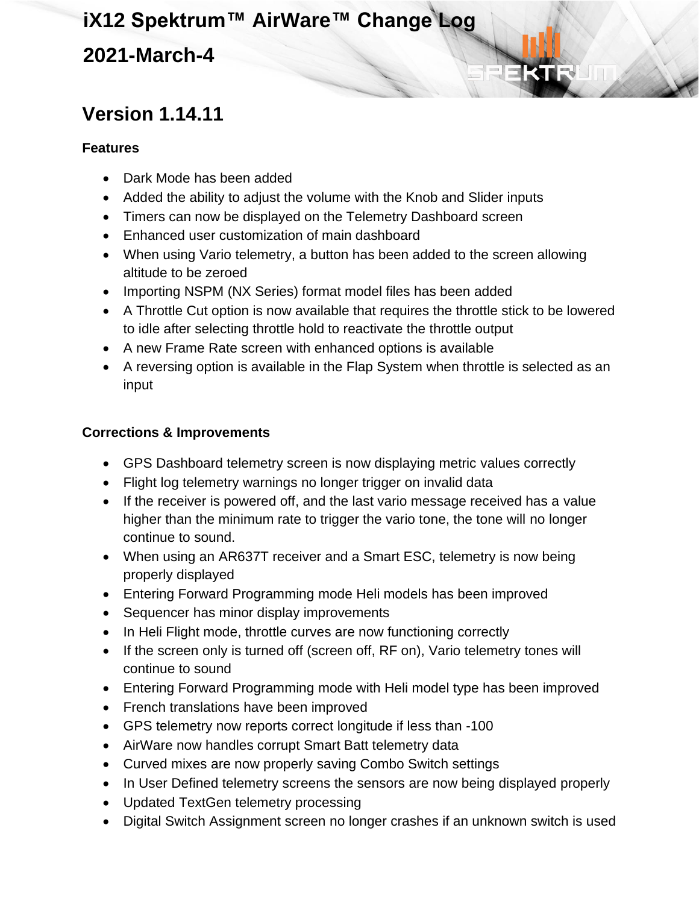### **Version 1.14.11**

#### **Features**

- Dark Mode has been added
- Added the ability to adjust the volume with the Knob and Slider inputs
- Timers can now be displayed on the Telemetry Dashboard screen
- Enhanced user customization of main dashboard
- When using Vario telemetry, a button has been added to the screen allowing altitude to be zeroed
- Importing NSPM (NX Series) format model files has been added
- A Throttle Cut option is now available that requires the throttle stick to be lowered to idle after selecting throttle hold to reactivate the throttle output
- A new Frame Rate screen with enhanced options is available
- A reversing option is available in the Flap System when throttle is selected as an input

- GPS Dashboard telemetry screen is now displaying metric values correctly
- Flight log telemetry warnings no longer trigger on invalid data
- If the receiver is powered off, and the last vario message received has a value higher than the minimum rate to trigger the vario tone, the tone will no longer continue to sound.
- When using an AR637T receiver and a Smart ESC, telemetry is now being properly displayed
- Entering Forward Programming mode Heli models has been improved
- Sequencer has minor display improvements
- In Heli Flight mode, throttle curves are now functioning correctly
- If the screen only is turned off (screen off, RF on), Vario telemetry tones will continue to sound
- Entering Forward Programming mode with Heli model type has been improved
- French translations have been improved
- GPS telemetry now reports correct longitude if less than -100
- AirWare now handles corrupt Smart Batt telemetry data
- Curved mixes are now properly saving Combo Switch settings
- In User Defined telemetry screens the sensors are now being displayed properly
- Updated TextGen telemetry processing
- Digital Switch Assignment screen no longer crashes if an unknown switch is used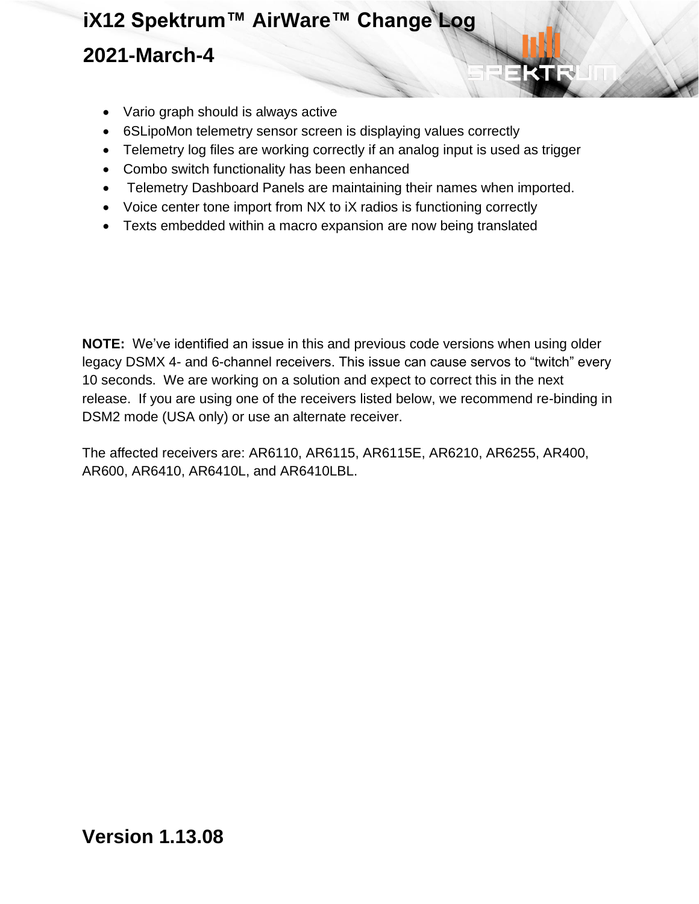- Vario graph should is always active
- 6SLipoMon telemetry sensor screen is displaying values correctly
- Telemetry log files are working correctly if an analog input is used as trigger
- Combo switch functionality has been enhanced
- Telemetry Dashboard Panels are maintaining their names when imported.
- Voice center tone import from NX to iX radios is functioning correctly
- Texts embedded within a macro expansion are now being translated

**NOTE:** We've identified an issue in this and previous code versions when using older legacy DSMX 4- and 6-channel receivers. This issue can cause servos to "twitch" every 10 seconds. We are working on a solution and expect to correct this in the next release. If you are using one of the receivers listed below, we recommend re-binding in DSM2 mode (USA only) or use an alternate receiver.

The affected receivers are: AR6110, AR6115, AR6115E, AR6210, AR6255, AR400, AR600, AR6410, AR6410L, and AR6410LBL.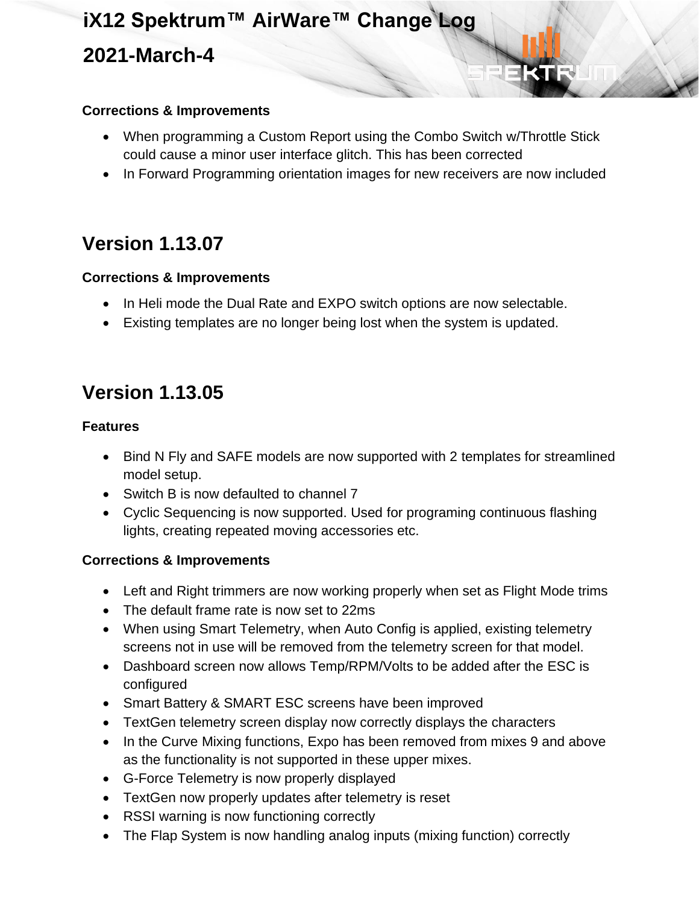#### **Corrections & Improvements**

- When programming a Custom Report using the Combo Switch w/Throttle Stick could cause a minor user interface glitch. This has been corrected
- In Forward Programming orientation images for new receivers are now included

### **Version 1.13.07**

#### **Corrections & Improvements**

- In Heli mode the Dual Rate and EXPO switch options are now selectable.
- Existing templates are no longer being lost when the system is updated.

### **Version 1.13.05**

#### **Features**

- Bind N Fly and SAFE models are now supported with 2 templates for streamlined model setup.
- Switch B is now defaulted to channel 7
- Cyclic Sequencing is now supported. Used for programing continuous flashing lights, creating repeated moving accessories etc.

- Left and Right trimmers are now working properly when set as Flight Mode trims
- The default frame rate is now set to 22ms
- When using Smart Telemetry, when Auto Config is applied, existing telemetry screens not in use will be removed from the telemetry screen for that model.
- Dashboard screen now allows Temp/RPM/Volts to be added after the ESC is configured
- Smart Battery & SMART ESC screens have been improved
- TextGen telemetry screen display now correctly displays the characters
- In the Curve Mixing functions, Expo has been removed from mixes 9 and above as the functionality is not supported in these upper mixes.
- G-Force Telemetry is now properly displayed
- TextGen now properly updates after telemetry is reset
- RSSI warning is now functioning correctly
- The Flap System is now handling analog inputs (mixing function) correctly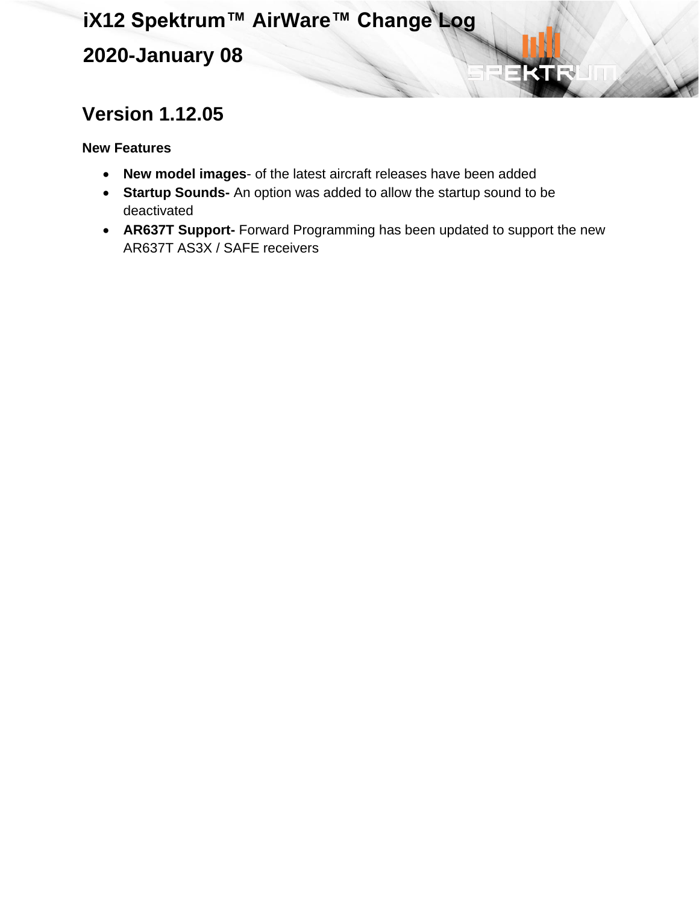**2020-January 08**

## **Version 1.12.05**

**New Features**

- **New model images** of the latest aircraft releases have been added
- **Startup Sounds-** An option was added to allow the startup sound to be deactivated
- **AR637T Support-** Forward Programming has been updated to support the new AR637T AS3X / SAFE receivers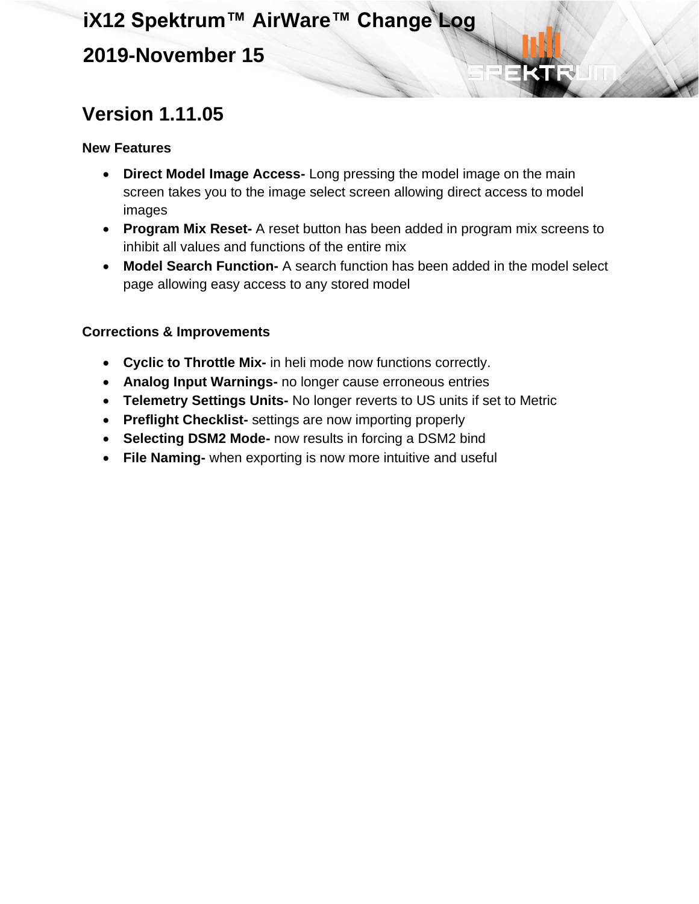### **2019-November 15**

## **Version 1.11.05**

#### **New Features**

- **Direct Model Image Access-** Long pressing the model image on the main screen takes you to the image select screen allowing direct access to model images
- **Program Mix Reset-** A reset button has been added in program mix screens to inhibit all values and functions of the entire mix
- **Model Search Function-** A search function has been added in the model select page allowing easy access to any stored model

- **Cyclic to Throttle Mix-** in heli mode now functions correctly.
- **Analog Input Warnings-** no longer cause erroneous entries
- **Telemetry Settings Units-** No longer reverts to US units if set to Metric
- **Preflight Checklist-** settings are now importing properly
- **Selecting DSM2 Mode-** now results in forcing a DSM2 bind
- **File Naming-** when exporting is now more intuitive and useful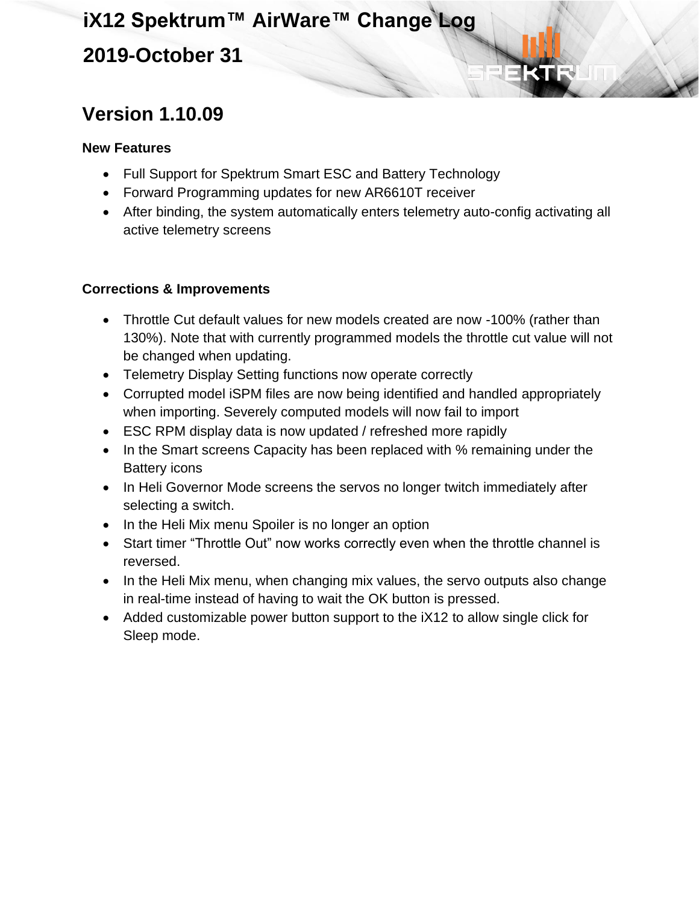## **iX12 Spektrum™ AirWare™ Change Log 2019-October 31**

### **Version 1.10.09**

#### **New Features**

- Full Support for Spektrum Smart ESC and Battery Technology
- Forward Programming updates for new AR6610T receiver
- After binding, the system automatically enters telemetry auto-config activating all active telemetry screens

- Throttle Cut default values for new models created are now -100% (rather than 130%). Note that with currently programmed models the throttle cut value will not be changed when updating.
- Telemetry Display Setting functions now operate correctly
- Corrupted model iSPM files are now being identified and handled appropriately when importing. Severely computed models will now fail to import
- ESC RPM display data is now updated / refreshed more rapidly
- In the Smart screens Capacity has been replaced with % remaining under the Battery icons
- In Heli Governor Mode screens the servos no longer twitch immediately after selecting a switch.
- In the Heli Mix menu Spoiler is no longer an option
- Start timer "Throttle Out" now works correctly even when the throttle channel is reversed.
- In the Heli Mix menu, when changing mix values, the servo outputs also change in real-time instead of having to wait the OK button is pressed.
- Added customizable power button support to the iX12 to allow single click for Sleep mode.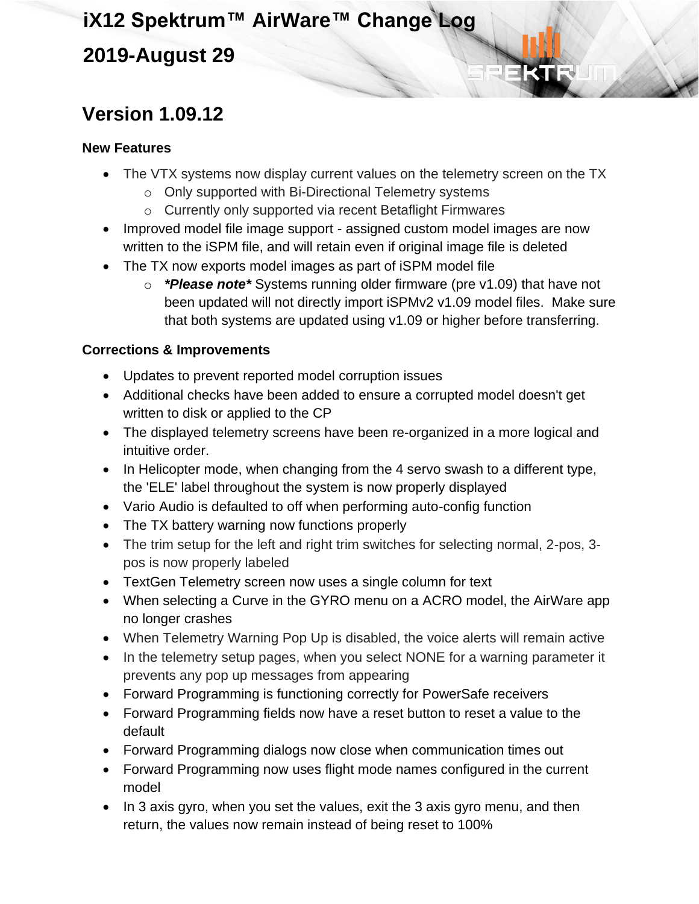### **2019-August 29**

## **Version 1.09.12**

#### **New Features**

- The VTX systems now display current values on the telemetry screen on the TX
	- o Only supported with Bi-Directional Telemetry systems
	- o Currently only supported via recent Betaflight Firmwares
- Improved model file image support assigned custom model images are now written to the iSPM file, and will retain even if original image file is deleted
- The TX now exports model images as part of iSPM model file
	- o *\*Please note\** Systems running older firmware (pre v1.09) that have not been updated will not directly import iSPMv2 v1.09 model files. Make sure that both systems are updated using v1.09 or higher before transferring.

- Updates to prevent reported model corruption issues
- Additional checks have been added to ensure a corrupted model doesn't get written to disk or applied to the CP
- The displayed telemetry screens have been re-organized in a more logical and intuitive order.
- In Helicopter mode, when changing from the 4 servo swash to a different type, the 'ELE' label throughout the system is now properly displayed
- Vario Audio is defaulted to off when performing auto-config function
- The TX battery warning now functions properly
- The trim setup for the left and right trim switches for selecting normal, 2-pos, 3 pos is now properly labeled
- TextGen Telemetry screen now uses a single column for text
- When selecting a Curve in the GYRO menu on a ACRO model, the AirWare app no longer crashes
- When Telemetry Warning Pop Up is disabled, the voice alerts will remain active
- In the telemetry setup pages, when you select NONE for a warning parameter it prevents any pop up messages from appearing
- Forward Programming is functioning correctly for PowerSafe receivers
- Forward Programming fields now have a reset button to reset a value to the default
- Forward Programming dialogs now close when communication times out
- Forward Programming now uses flight mode names configured in the current model
- In 3 axis gyro, when you set the values, exit the 3 axis gyro menu, and then return, the values now remain instead of being reset to 100%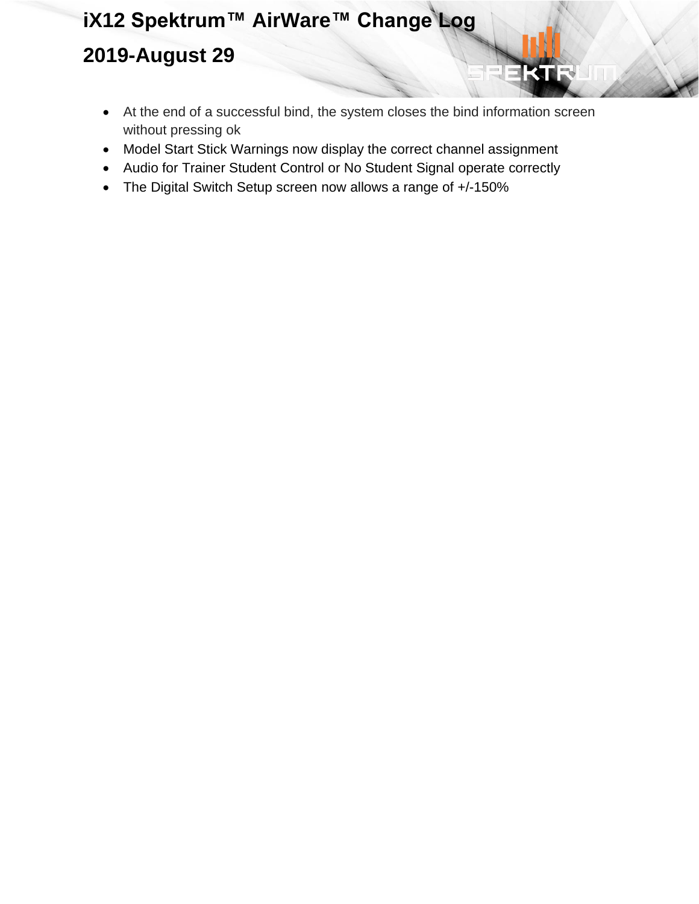## **iX12 Spektrum™ AirWare™ Change Log 2019-August 29**

• At the end of a successful bind, the system closes the bind information screen without pressing ok

KU

- Model Start Stick Warnings now display the correct channel assignment
- Audio for Trainer Student Control or No Student Signal operate correctly
- The Digital Switch Setup screen now allows a range of +/-150%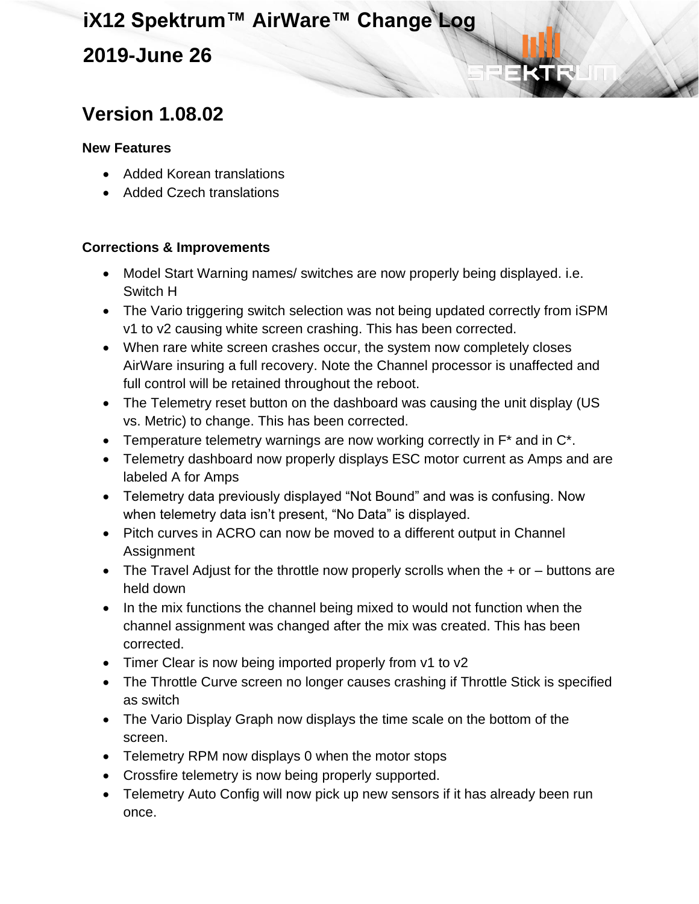### **2019-June 26**

### **Version 1.08.02**

#### **New Features**

- Added Korean translations
- Added Czech translations

- Model Start Warning names/ switches are now properly being displayed. i.e. Switch H
- The Vario triggering switch selection was not being updated correctly from iSPM v1 to v2 causing white screen crashing. This has been corrected.
- When rare white screen crashes occur, the system now completely closes AirWare insuring a full recovery. Note the Channel processor is unaffected and full control will be retained throughout the reboot.
- The Telemetry reset button on the dashboard was causing the unit display (US vs. Metric) to change. This has been corrected.
- Temperature telemetry warnings are now working correctly in  $F^*$  and in  $C^*$ .
- Telemetry dashboard now properly displays ESC motor current as Amps and are labeled A for Amps
- Telemetry data previously displayed "Not Bound" and was is confusing. Now when telemetry data isn't present, "No Data" is displayed.
- Pitch curves in ACRO can now be moved to a different output in Channel Assignment
- The Travel Adjust for the throttle now properly scrolls when the  $+$  or  $-$  buttons are held down
- In the mix functions the channel being mixed to would not function when the channel assignment was changed after the mix was created. This has been corrected.
- Timer Clear is now being imported properly from v1 to v2
- The Throttle Curve screen no longer causes crashing if Throttle Stick is specified as switch
- The Vario Display Graph now displays the time scale on the bottom of the screen.
- Telemetry RPM now displays 0 when the motor stops
- Crossfire telemetry is now being properly supported.
- Telemetry Auto Config will now pick up new sensors if it has already been run once.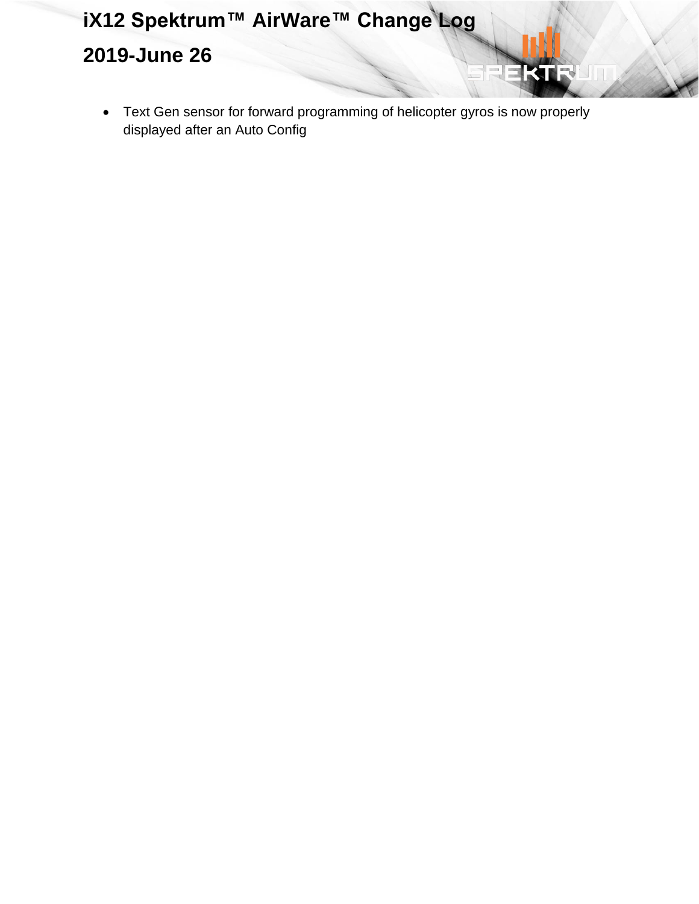## **iX12 Spektrum™ AirWare™ Change Log 2019-June 26**

• Text Gen sensor for forward programming of helicopter gyros is now properly displayed after an Auto Config

KI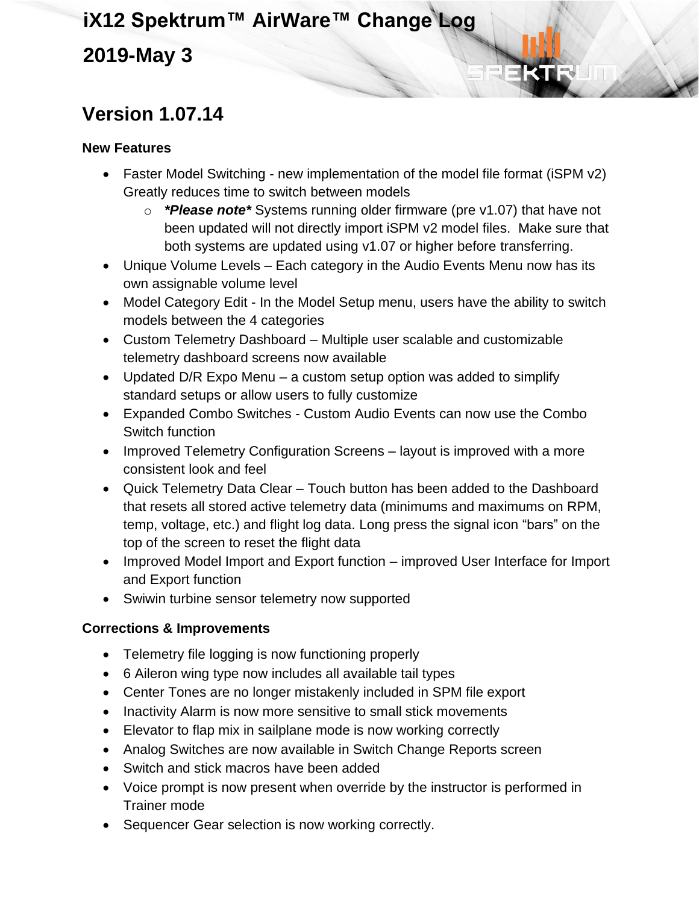### **2019-May 3**

## **Version 1.07.14**

#### **New Features**

- Faster Model Switching new implementation of the model file format (iSPM v2) Greatly reduces time to switch between models
	- o *\*Please note\** Systems running older firmware (pre v1.07) that have not been updated will not directly import iSPM v2 model files. Make sure that both systems are updated using v1.07 or higher before transferring.
- Unique Volume Levels Each category in the Audio Events Menu now has its own assignable volume level
- Model Category Edit In the Model Setup menu, users have the ability to switch models between the 4 categories
- Custom Telemetry Dashboard Multiple user scalable and customizable telemetry dashboard screens now available
- Updated D/R Expo Menu a custom setup option was added to simplify standard setups or allow users to fully customize
- Expanded Combo Switches Custom Audio Events can now use the Combo Switch function
- Improved Telemetry Configuration Screens layout is improved with a more consistent look and feel
- Quick Telemetry Data Clear Touch button has been added to the Dashboard that resets all stored active telemetry data (minimums and maximums on RPM, temp, voltage, etc.) and flight log data. Long press the signal icon "bars" on the top of the screen to reset the flight data
- Improved Model Import and Export function improved User Interface for Import and Export function
- Swiwin turbine sensor telemetry now supported

- Telemetry file logging is now functioning properly
- 6 Aileron wing type now includes all available tail types
- Center Tones are no longer mistakenly included in SPM file export
- Inactivity Alarm is now more sensitive to small stick movements
- Elevator to flap mix in sailplane mode is now working correctly
- Analog Switches are now available in Switch Change Reports screen
- Switch and stick macros have been added
- Voice prompt is now present when override by the instructor is performed in Trainer mode
- Sequencer Gear selection is now working correctly.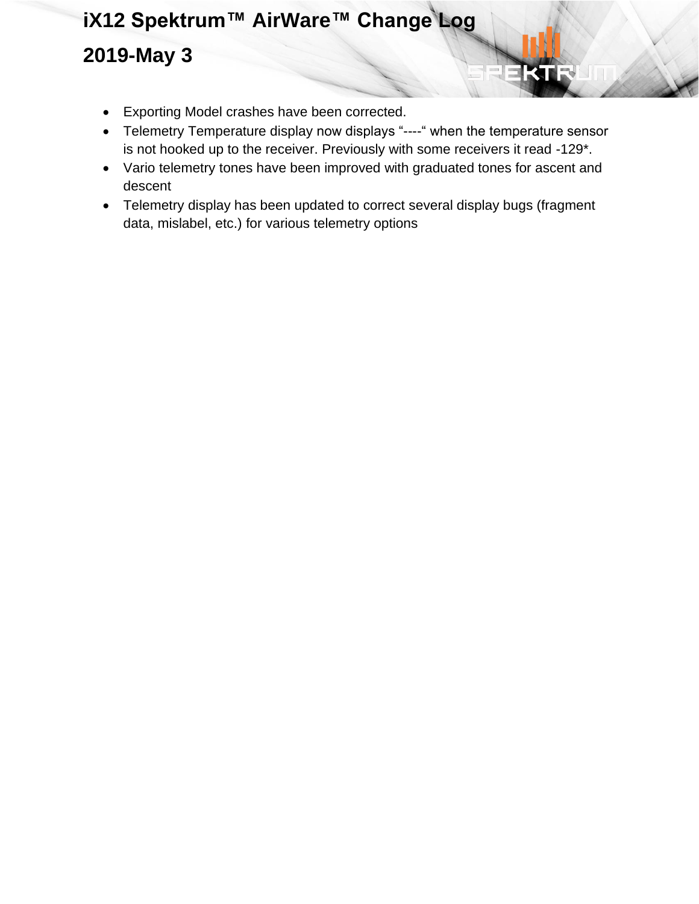- Exporting Model crashes have been corrected.
- Telemetry Temperature display now displays "----" when the temperature sensor is not hooked up to the receiver. Previously with some receivers it read -129\*.
- Vario telemetry tones have been improved with graduated tones for ascent and descent
- Telemetry display has been updated to correct several display bugs (fragment data, mislabel, etc.) for various telemetry options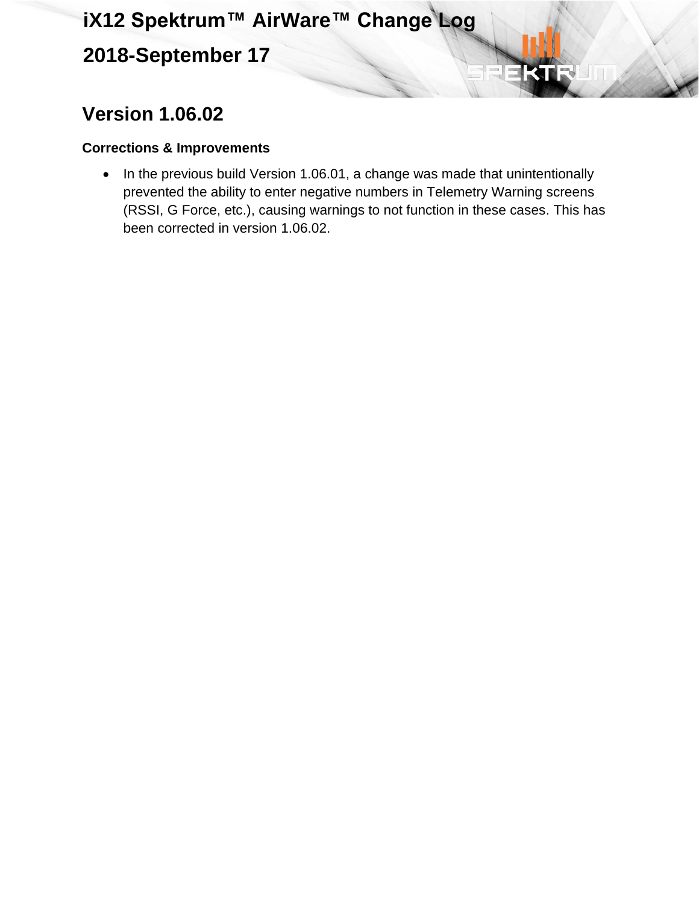## **2018-September 17**

## **Version 1.06.02**

#### **Corrections & Improvements**

• In the previous build Version 1.06.01, a change was made that unintentionally prevented the ability to enter negative numbers in Telemetry Warning screens (RSSI, G Force, etc.), causing warnings to not function in these cases. This has been corrected in version 1.06.02.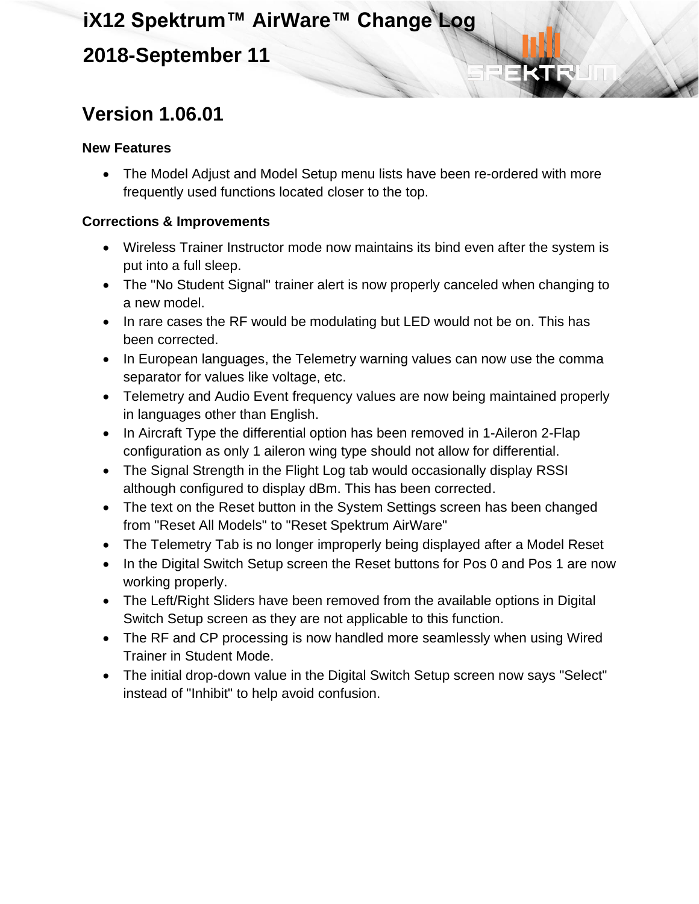### **2018-September 11**

## **Version 1.06.01**

#### **New Features**

• The Model Adjust and Model Setup menu lists have been re-ordered with more frequently used functions located closer to the top.

- Wireless Trainer Instructor mode now maintains its bind even after the system is put into a full sleep.
- The "No Student Signal" trainer alert is now properly canceled when changing to a new model.
- In rare cases the RF would be modulating but LED would not be on. This has been corrected.
- In European languages, the Telemetry warning values can now use the comma separator for values like voltage, etc.
- Telemetry and Audio Event frequency values are now being maintained properly in languages other than English.
- In Aircraft Type the differential option has been removed in 1-Aileron 2-Flap configuration as only 1 aileron wing type should not allow for differential.
- The Signal Strength in the Flight Log tab would occasionally display RSSI although configured to display dBm. This has been corrected.
- The text on the Reset button in the System Settings screen has been changed from "Reset All Models" to "Reset Spektrum AirWare"
- The Telemetry Tab is no longer improperly being displayed after a Model Reset
- In the Digital Switch Setup screen the Reset buttons for Pos 0 and Pos 1 are now working properly.
- The Left/Right Sliders have been removed from the available options in Digital Switch Setup screen as they are not applicable to this function.
- The RF and CP processing is now handled more seamlessly when using Wired Trainer in Student Mode.
- The initial drop-down value in the Digital Switch Setup screen now says "Select" instead of "Inhibit" to help avoid confusion.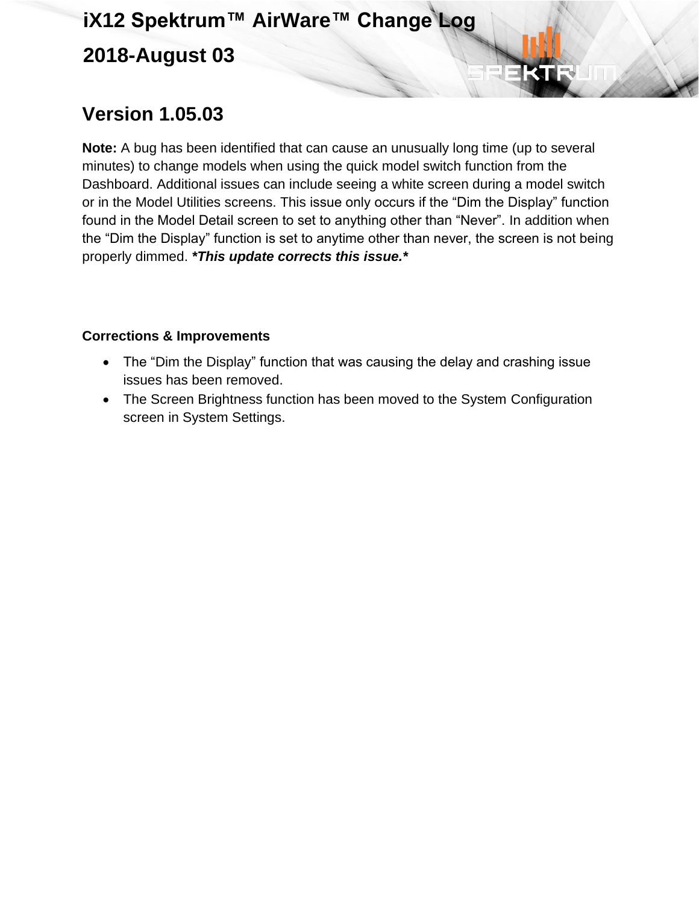## **iX12 Spektrum™ AirWare™ Change Log 2018-August 03**

### **Version 1.05.03**

**Note:** A bug has been identified that can cause an unusually long time (up to several minutes) to change models when using the quick model switch function from the Dashboard. Additional issues can include seeing a white screen during a model switch or in the Model Utilities screens. This issue only occurs if the "Dim the Display" function found in the Model Detail screen to set to anything other than "Never". In addition when the "Dim the Display" function is set to anytime other than never, the screen is not being properly dimmed. *\*This update corrects this issue.\**

- The "Dim the Display" function that was causing the delay and crashing issue issues has been removed.
- The Screen Brightness function has been moved to the System Configuration screen in System Settings.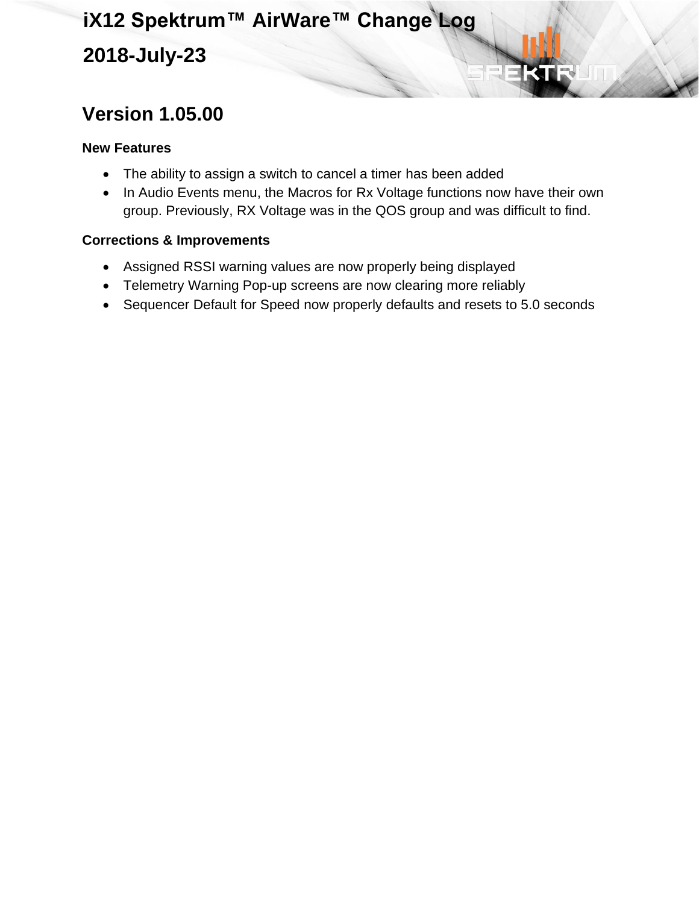## **iX12 Spektrum™ AirWare™ Change Log 2018-July-23**

## **Version 1.05.00**

#### **New Features**

- The ability to assign a switch to cancel a timer has been added
- In Audio Events menu, the Macros for Rx Voltage functions now have their own group. Previously, RX Voltage was in the QOS group and was difficult to find.

- Assigned RSSI warning values are now properly being displayed
- Telemetry Warning Pop-up screens are now clearing more reliably
- Sequencer Default for Speed now properly defaults and resets to 5.0 seconds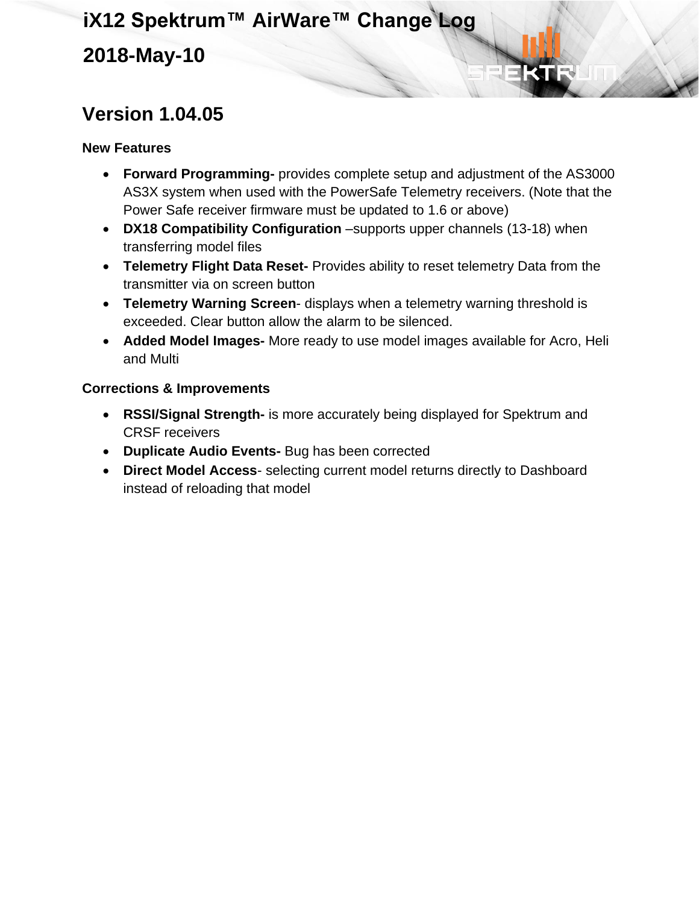### **Version 1.04.05**

#### **New Features**

- **Forward Programming-** provides complete setup and adjustment of the AS3000 AS3X system when used with the PowerSafe Telemetry receivers. (Note that the Power Safe receiver firmware must be updated to 1.6 or above)
- **DX18 Compatibility Configuration** –supports upper channels (13-18) when transferring model files
- **Telemetry Flight Data Reset-** Provides ability to reset telemetry Data from the transmitter via on screen button
- **Telemetry Warning Screen** displays when a telemetry warning threshold is exceeded. Clear button allow the alarm to be silenced.
- **Added Model Images-** More ready to use model images available for Acro, Heli and Multi

- **RSSI/Signal Strength-** is more accurately being displayed for Spektrum and CRSF receivers
- **Duplicate Audio Events-** Bug has been corrected
- **Direct Model Access** selecting current model returns directly to Dashboard instead of reloading that model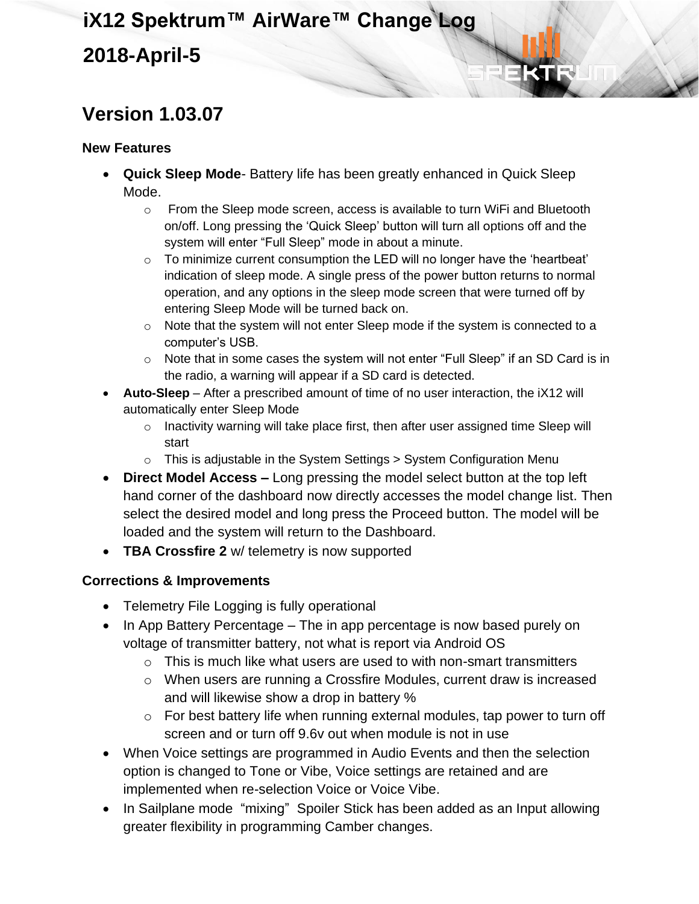## **iX12 Spektrum™ AirWare™ Change Log 2018-April-5**

### **Version 1.03.07**

#### **New Features**

- **Quick Sleep Mode** Battery life has been greatly enhanced in Quick Sleep Mode.
	- $\circ$  From the Sleep mode screen, access is available to turn WiFi and Bluetooth on/off. Long pressing the 'Quick Sleep' button will turn all options off and the system will enter "Full Sleep" mode in about a minute.
	- $\circ$  To minimize current consumption the LED will no longer have the 'heartbeat' indication of sleep mode. A single press of the power button returns to normal operation, and any options in the sleep mode screen that were turned off by entering Sleep Mode will be turned back on.
	- o Note that the system will not enter Sleep mode if the system is connected to a computer's USB.
	- $\circ$  Note that in some cases the system will not enter "Full Sleep" if an SD Card is in the radio, a warning will appear if a SD card is detected.
- **Auto-Sleep** After a prescribed amount of time of no user interaction, the iX12 will automatically enter Sleep Mode
	- o Inactivity warning will take place first, then after user assigned time Sleep will start
	- $\circ$  This is adjustable in the System Settings > System Configuration Menu
- **Direct Model Access –** Long pressing the model select button at the top left hand corner of the dashboard now directly accesses the model change list. Then select the desired model and long press the Proceed button. The model will be loaded and the system will return to the Dashboard.
- **TBA Crossfire 2** w/ telemetry is now supported

- Telemetry File Logging is fully operational
- In App Battery Percentage The in app percentage is now based purely on voltage of transmitter battery, not what is report via Android OS
	- $\circ$  This is much like what users are used to with non-smart transmitters
	- o When users are running a Crossfire Modules, current draw is increased and will likewise show a drop in battery %
	- o For best battery life when running external modules, tap power to turn off screen and or turn off 9.6v out when module is not in use
- When Voice settings are programmed in Audio Events and then the selection option is changed to Tone or Vibe, Voice settings are retained and are implemented when re-selection Voice or Voice Vibe.
- In Sailplane mode "mixing" Spoiler Stick has been added as an Input allowing greater flexibility in programming Camber changes.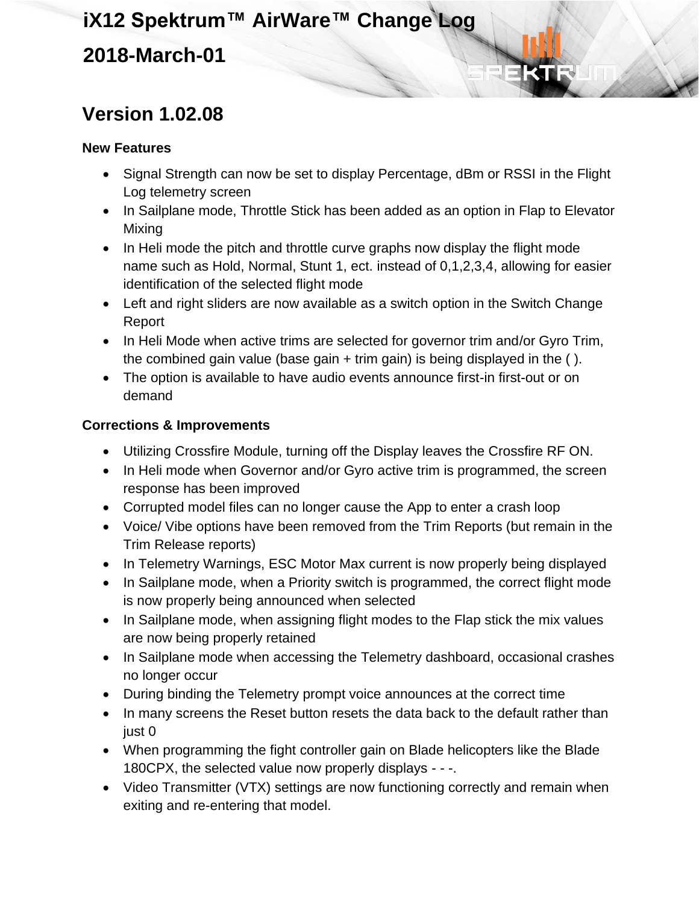### **Version 1.02.08**

#### **New Features**

- Signal Strength can now be set to display Percentage, dBm or RSSI in the Flight Log telemetry screen
- In Sailplane mode, Throttle Stick has been added as an option in Flap to Elevator Mixing
- In Heli mode the pitch and throttle curve graphs now display the flight mode name such as Hold, Normal, Stunt 1, ect. instead of 0,1,2,3,4, allowing for easier identification of the selected flight mode
- Left and right sliders are now available as a switch option in the Switch Change Report
- In Heli Mode when active trims are selected for governor trim and/or Gyro Trim, the combined gain value (base gain + trim gain) is being displayed in the ( ).
- The option is available to have audio events announce first-in first-out or on demand

- Utilizing Crossfire Module, turning off the Display leaves the Crossfire RF ON.
- In Heli mode when Governor and/or Gyro active trim is programmed, the screen response has been improved
- Corrupted model files can no longer cause the App to enter a crash loop
- Voice/ Vibe options have been removed from the Trim Reports (but remain in the Trim Release reports)
- In Telemetry Warnings, ESC Motor Max current is now properly being displayed
- In Sailplane mode, when a Priority switch is programmed, the correct flight mode is now properly being announced when selected
- In Sailplane mode, when assigning flight modes to the Flap stick the mix values are now being properly retained
- In Sailplane mode when accessing the Telemetry dashboard, occasional crashes no longer occur
- During binding the Telemetry prompt voice announces at the correct time
- In many screens the Reset button resets the data back to the default rather than just 0
- When programming the fight controller gain on Blade helicopters like the Blade 180CPX, the selected value now properly displays - - -.
- Video Transmitter (VTX) settings are now functioning correctly and remain when exiting and re-entering that model.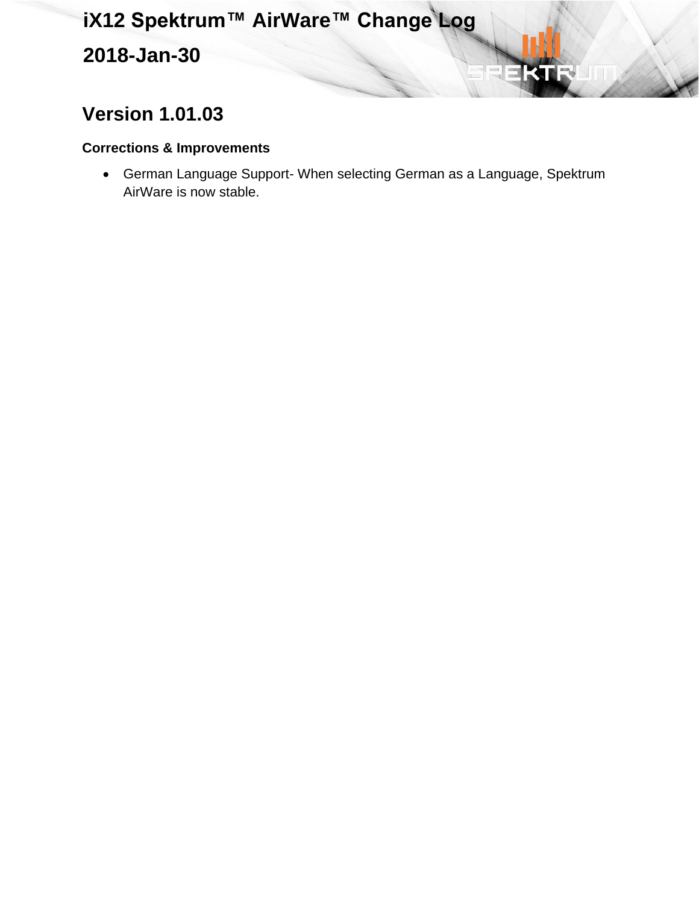**2018-Jan-30**

## **Version 1.01.03**

#### **Corrections & Improvements**

• German Language Support- When selecting German as a Language, Spektrum AirWare is now stable.

KI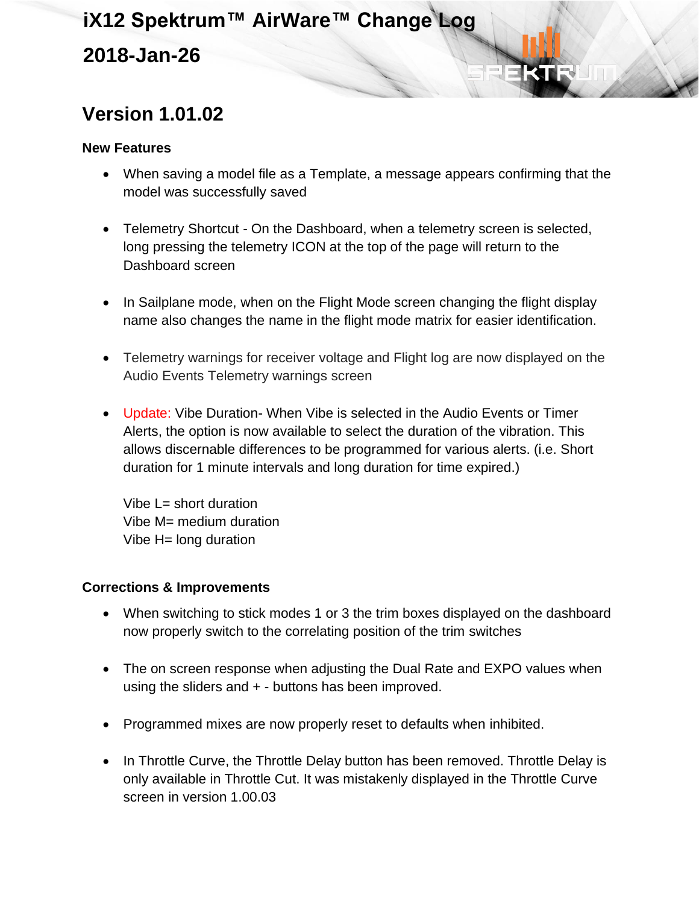## **Version 1.01.02**

#### **New Features**

- When saving a model file as a Template, a message appears confirming that the model was successfully saved
- Telemetry Shortcut On the Dashboard, when a telemetry screen is selected, long pressing the telemetry ICON at the top of the page will return to the Dashboard screen
- In Sailplane mode, when on the Flight Mode screen changing the flight display name also changes the name in the flight mode matrix for easier identification.
- Telemetry warnings for receiver voltage and Flight log are now displayed on the Audio Events Telemetry warnings screen
- Update: Vibe Duration- When Vibe is selected in the Audio Events or Timer Alerts, the option is now available to select the duration of the vibration. This allows discernable differences to be programmed for various alerts. (i.e. Short duration for 1 minute intervals and long duration for time expired.)

Vibe L= short duration Vibe M= medium duration Vibe H= long duration

- When switching to stick modes 1 or 3 the trim boxes displayed on the dashboard now properly switch to the correlating position of the trim switches
- The on screen response when adjusting the Dual Rate and EXPO values when using the sliders and  $+$  - buttons has been improved.
- Programmed mixes are now properly reset to defaults when inhibited.
- In Throttle Curve, the Throttle Delay button has been removed. Throttle Delay is only available in Throttle Cut. It was mistakenly displayed in the Throttle Curve screen in version 1.00.03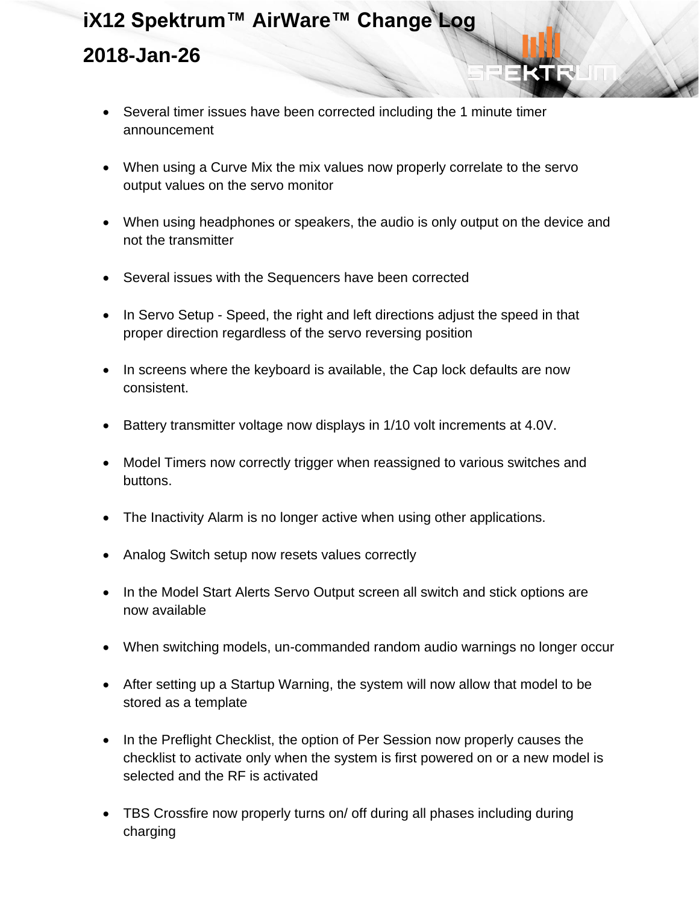- Several timer issues have been corrected including the 1 minute timer announcement
- When using a Curve Mix the mix values now properly correlate to the servo output values on the servo monitor
- When using headphones or speakers, the audio is only output on the device and not the transmitter
- Several issues with the Sequencers have been corrected
- In Servo Setup Speed, the right and left directions adjust the speed in that proper direction regardless of the servo reversing position
- In screens where the keyboard is available, the Cap lock defaults are now consistent.
- Battery transmitter voltage now displays in 1/10 volt increments at 4.0V.
- Model Timers now correctly trigger when reassigned to various switches and buttons.
- The Inactivity Alarm is no longer active when using other applications.
- Analog Switch setup now resets values correctly
- In the Model Start Alerts Servo Output screen all switch and stick options are now available
- When switching models, un-commanded random audio warnings no longer occur
- After setting up a Startup Warning, the system will now allow that model to be stored as a template
- In the Preflight Checklist, the option of Per Session now properly causes the checklist to activate only when the system is first powered on or a new model is selected and the RF is activated
- TBS Crossfire now properly turns on/ off during all phases including during charging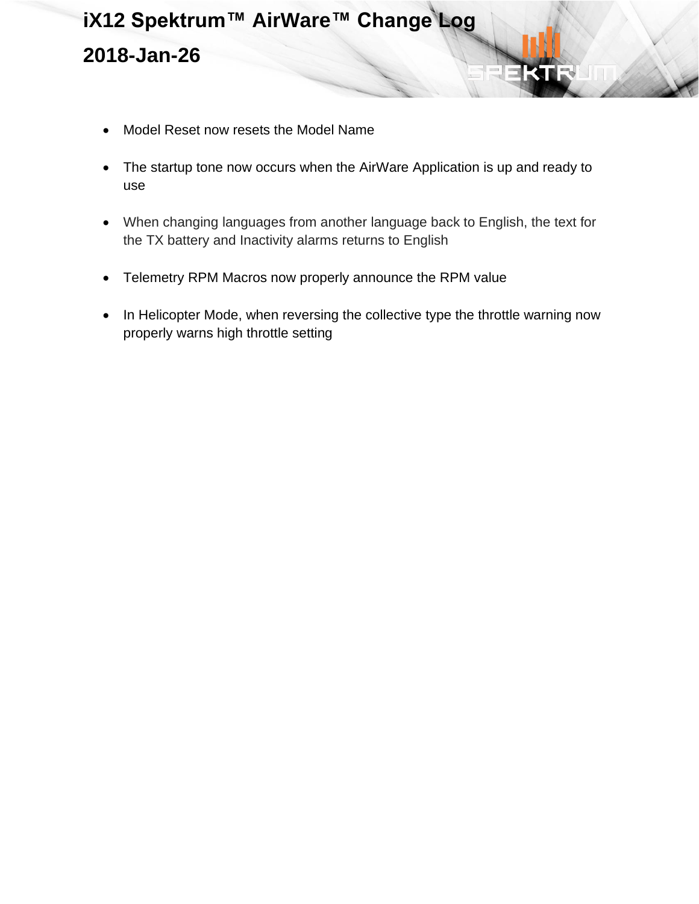- Model Reset now resets the Model Name
- The startup tone now occurs when the AirWare Application is up and ready to use
- When changing languages from another language back to English, the text for the TX battery and Inactivity alarms returns to English
- Telemetry RPM Macros now properly announce the RPM value
- In Helicopter Mode, when reversing the collective type the throttle warning now properly warns high throttle setting